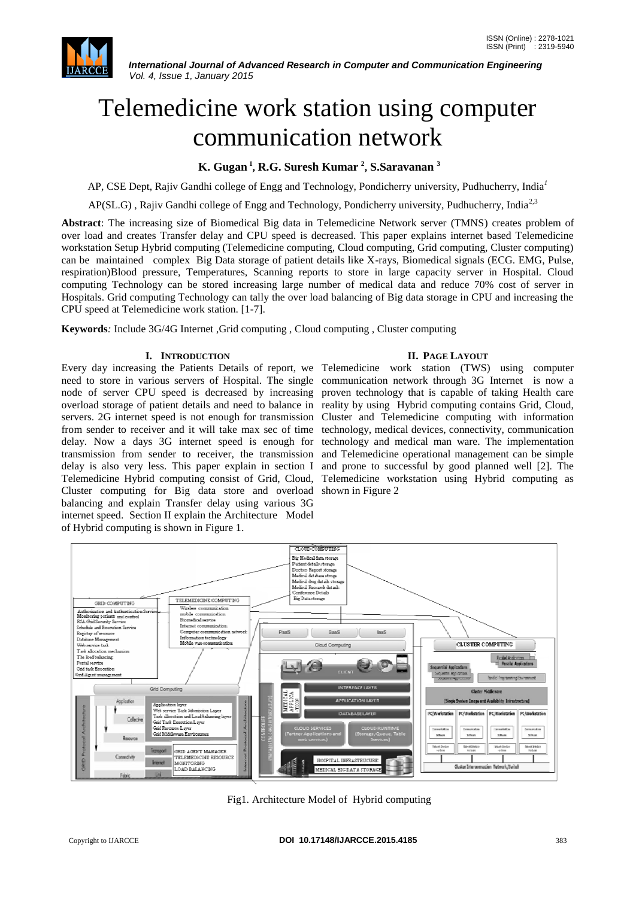

# Telemedicine work station using computer communication network

# **K. Gugan <sup>1</sup> , R.G. Suresh Kumar <sup>2</sup> , S.Saravanan <sup>3</sup>**

AP, CSE Dept, Rajiv Gandhi college of Engg and Technology, Pondicherry university, Pudhucherry, India*<sup>1</sup>*

AP(SL.G), Rajiv Gandhi college of Engg and Technology, Pondicherry university, Pudhucherry, India<sup>2,3</sup>

**Abstract**: The increasing size of Biomedical Big data in Telemedicine Network server (TMNS) creates problem of over load and creates Transfer delay and CPU speed is decreased. This paper explains internet based Telemedicine workstation Setup Hybrid computing (Telemedicine computing, Cloud computing, Grid computing, Cluster computing) can be maintained complex Big Data storage of patient details like X-rays, Biomedical signals (ECG. EMG, Pulse, respiration)Blood pressure, Temperatures, Scanning reports to store in large capacity server in Hospital. Cloud computing Technology can be stored increasing large number of medical data and reduce 70% cost of server in Hospitals. Grid computing Technology can tally the over load balancing of Big data storage in CPU and increasing the CPU speed at Telemedicine work station. [1-7].

**Keywords***:* Include 3G/4G Internet ,Grid computing , Cloud computing , Cluster computing

# **I. INTRODUCTION**

Every day increasing the Patients Details of report, we Telemedicine work station (TWS) using computer need to store in various servers of Hospital. The single communication network through 3G Internet is now a node of server CPU speed is decreased by increasing proven technology that is capable of taking Health care overload storage of patient details and need to balance in reality by using Hybrid computing contains Grid, Cloud, servers. 2G internet speed is not enough for transmission Cluster and Telemedicine computing with information from sender to receiver and it will take max sec of time technology, medical devices, connectivity, communication delay. Now a days 3G internet speed is enough for transmission from sender to receiver, the transmission delay is also very less. This paper explain in section I Telemedicine Hybrid computing consist of Grid, Cloud, Cluster computing for Big data store and overload shown in Figure 2 balancing and explain Transfer delay using various 3G internet speed. Section II explain the Architecture Model of Hybrid computing is shown in Figure 1.

## **II. PAGE LAYOUT**

technology and medical man ware. The implementation and Telemedicine operational management can be simple and prone to successful by good planned well [2]. The Telemedicine workstation using Hybrid computing as



Fig1. Architecture Model of Hybrid computing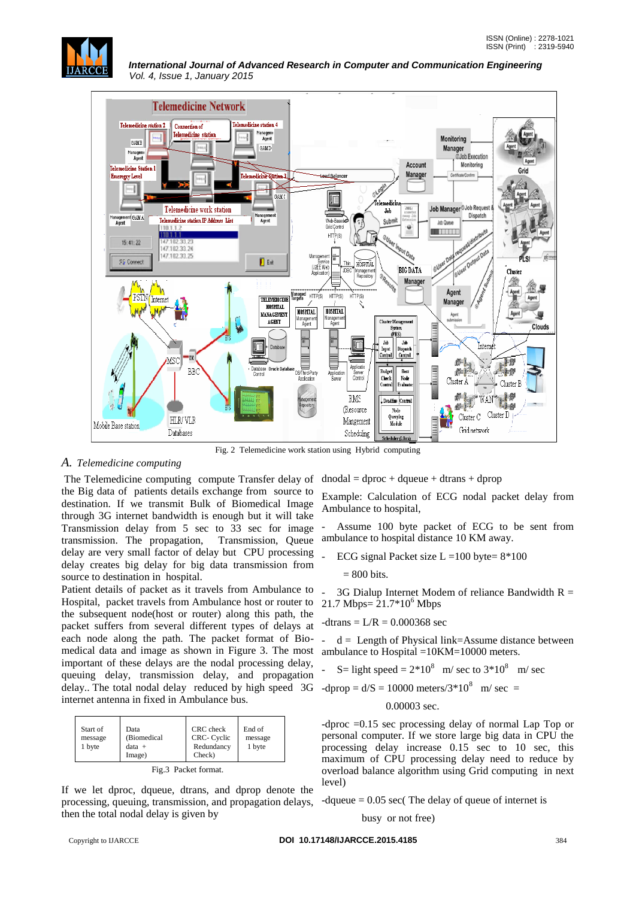



Fig. 2 Telemedicine work station using Hybrid computing

# *A. Telemedicine computing*

The Telemedicine computing compute Transfer delay of the Big data of patients details exchange from source to destination. If we transmit Bulk of Biomedical Image through 3G internet bandwidth is enough but it will take Transmission delay from 5 sec to 33 sec for image transmission. The propagation, Transmission, Queue delay are very small factor of delay but CPU processing delay creates big delay for big data transmission from source to destination in hospital.

Patient details of packet as it travels from Ambulance to Hospital, packet travels from Ambulance host or router to the subsequent node(host or router) along this path, the packet suffers from several different types of delays at each node along the path. The packet format of Biomedical data and image as shown in Figure 3. The most ambulance to Hospital = 10KM=10000 meters. important of these delays are the nodal processing delay, queuing delay, transmission delay, and propagation delay. The total nodal delay reduced by high speed 3G -dprop =  $d/S = 10000$  meters/3\*10<sup>8</sup> m/ sec = internet antenna in fixed in Ambulance bus.

| Start of<br>Data<br>(Biomedical<br>message<br>1 byte<br>$data +$<br>Image) | CRC check<br>CRC- Cyclic<br>Redundancy<br>Check) | End of<br>message<br>1 byte |
|----------------------------------------------------------------------------|--------------------------------------------------|-----------------------------|
|----------------------------------------------------------------------------|--------------------------------------------------|-----------------------------|

| Fig.3 Packet format. |  |
|----------------------|--|
|----------------------|--|

If we let dproc, dqueue, dtrans, and dprop denote the processing, queuing, transmission, and propagation delays, then the total nodal delay is given by

 $dnodal = dproc + dqueue + dtrans + dprop$ 

Example: Calculation of ECG nodal packet delay from Ambulance to hospital,

Assume 100 byte packet of ECG to be sent from ambulance to hospital distance 10 KM away.

ECG signal Packet size  $L = 100$  byte=  $8*100$ 

= 800 bits.

- 3G Dialup Internet Modem of reliance Bandwidth  $R =$ 21.7 Mbps=  $21.7*10^6$  Mbps

$$
-dtrans = L/R = 0.000368 sec
$$

 $d =$  Length of Physical link=Assume distance between

$$
- S = light speed = 2*108 m/sec to 3*108 m/sec
$$

#### 0.00003 sec.

-dproc =0.15 sec processing delay of normal Lap Top or personal computer. If we store large big data in CPU the processing delay increase 0.15 sec to 10 sec, this maximum of CPU processing delay need to reduce by overload balance algorithm using Grid computing in next level)

-dqueue  $= 0.05$  sec( The delay of queue of internet is

busy or not free)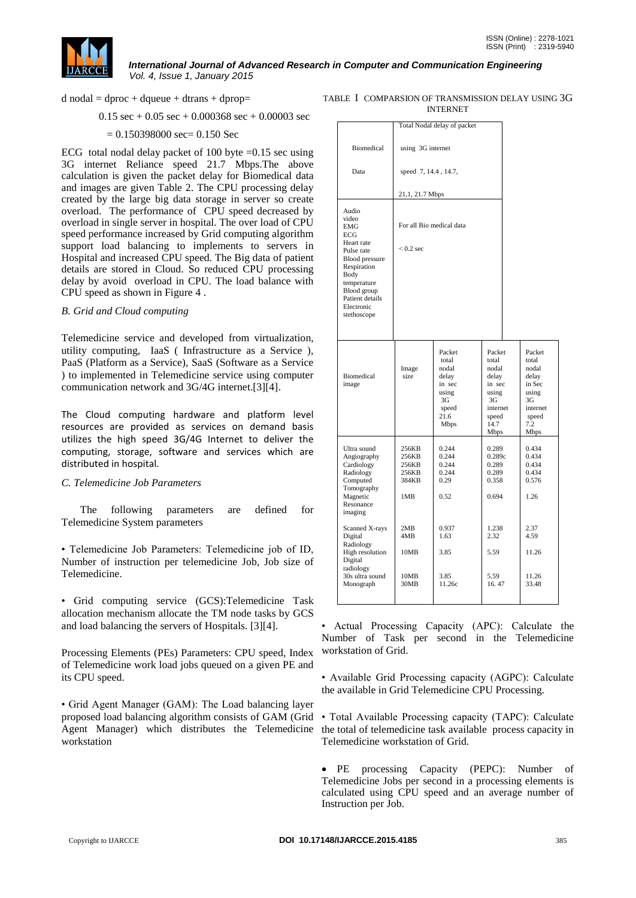

 $d$  nodal = dproc + dqueue + dtrans + dprop=

 $0.15 \text{ sec} + 0.05 \text{ sec} + 0.000368 \text{ sec} + 0.00003 \text{ sec}$ 

## $= 0.150398000$  sec= 0.150 Sec

ECG total nodal delay packet of 100 byte  $=0.15$  sec using 3G internet Reliance speed 21.7 Mbps.The above calculation is given the packet delay for Biomedical data and images are given Table 2. The CPU processing delay created by the large big data storage in server so create overload. The performance of CPU speed decreased by overload in single server in hospital. The over load of CPU speed performance increased by Grid computing algorithm support load balancing to implements to servers in Hospital and increased CPU speed. The Big data of patient details are stored in Cloud. So reduced CPU processing delay by avoid overload in CPU. The load balance with CPU speed as shown in Figure 4 .

## *B. Grid and Cloud computing*

Telemedicine service and developed from virtualization, utility computing, IaaS ( Infrastructure as a Service ), PaaS (Platform as a Service), SaaS (Software as a Service ) to implemented in Telemedicine service using computer communication network and 3G/4G internet.[3][4].

The Cloud computing hardware and platform level resources are provided as services on demand basis utilizes the high speed 3G/4G Internet to deliver the computing, storage, software and services which are distributed in hospital.

## *C. Telemedicine Job Parameters*

 The following parameters are defined for Telemedicine System parameters

• Telemedicine Job Parameters: Telemedicine job of ID, Number of instruction per telemedicine Job, Job size of Telemedicine.

• Grid computing service (GCS):Telemedicine Task allocation mechanism allocate the TM node tasks by GCS and load balancing the servers of Hospitals. [3][4].

Processing Elements (PEs) Parameters: CPU speed, Index of Telemedicine work load jobs queued on a given PE and its CPU speed.

• Grid Agent Manager (GAM): The Load balancing layer proposed load balancing algorithm consists of GAM (Grid Agent Manager) which distributes the Telemedicine workstation

| TABLE I COMPARSION OF TRANSMISSION DELAY USING 3G |
|---------------------------------------------------|
| <b>INTERNET</b>                                   |

|                                                                                                                                                                                               |                                                  | Total Nodal delay of packet                                                                |                                                                                                 |                                                                                                |
|-----------------------------------------------------------------------------------------------------------------------------------------------------------------------------------------------|--------------------------------------------------|--------------------------------------------------------------------------------------------|-------------------------------------------------------------------------------------------------|------------------------------------------------------------------------------------------------|
| <b>Biomedical</b>                                                                                                                                                                             | using 3G internet                                |                                                                                            |                                                                                                 |                                                                                                |
| Data                                                                                                                                                                                          | speed 7, 14.4, 14.7,                             |                                                                                            |                                                                                                 |                                                                                                |
|                                                                                                                                                                                               | 21,1, 21.7 Mbps                                  |                                                                                            |                                                                                                 |                                                                                                |
| Audio<br>video<br><b>EMG</b><br>ECG<br>Heart rate<br>Pulse rate<br><b>Blood</b> pressure<br>Respiration<br>Body<br>temperature<br>Blood group<br>Patient details<br>Electronic<br>stethoscope | For all Bio medical data<br>$< 0.2$ sec          |                                                                                            |                                                                                                 |                                                                                                |
| Biomedical<br>image                                                                                                                                                                           | Image<br>size                                    | Packet<br>total<br>nodal<br>delay<br>in sec<br>using<br>3G<br>speed<br>21.6<br><b>Mbps</b> | Packet<br>total<br>nodal<br>delay<br>in sec<br>using<br>3G<br>internet<br>speed<br>14.7<br>Mbps | Packet<br>total<br>nodal<br>delay<br>in Sec<br>using<br>3G<br>internet<br>speed<br>7.2<br>Mbps |
| Ultra sound<br>Angiography<br>Cardiology<br>Radiology<br>Computed<br>Tomography<br>Magnetic<br>Resonance<br>imaging                                                                           | 256KB<br>256KB<br>256KB<br>256KB<br>384KB<br>1MB | 0.244<br>0.244<br>0.244<br>0.244<br>0.29<br>0.52                                           | 0.289<br>0.289c<br>0.289<br>0.289<br>0.358<br>0.694                                             | 0.434<br>0.434<br>0.434<br>0.434<br>0.576<br>1.26                                              |
| Scanned X-rays<br>Digital<br>Radiology<br>High resolution<br>Digital                                                                                                                          | 2MB<br>4MB<br>10MB                               | 0.937<br>1.63<br>3.85                                                                      | 1.238<br>2.32<br>5.59                                                                           | 2.37<br>4.59<br>11.26                                                                          |
| radiology<br>30s ultra sound<br>Monograph                                                                                                                                                     | 10MB<br>30MB                                     | 3.85<br>11.26c                                                                             | 5.59<br>16.47                                                                                   | 11.26<br>33.48                                                                                 |

• Actual Processing Capacity (APC): Calculate the Number of Task per second in the Telemedicine workstation of Grid.

• Available Grid Processing capacity (AGPC): Calculate the available in Grid Telemedicine CPU Processing.

• Total Available Processing capacity (TAPC): Calculate the total of telemedicine task available process capacity in Telemedicine workstation of Grid.

 PE processing Capacity (PEPC): Number of Telemedicine Jobs per second in a processing elements is calculated using CPU speed and an average number of Instruction per Job.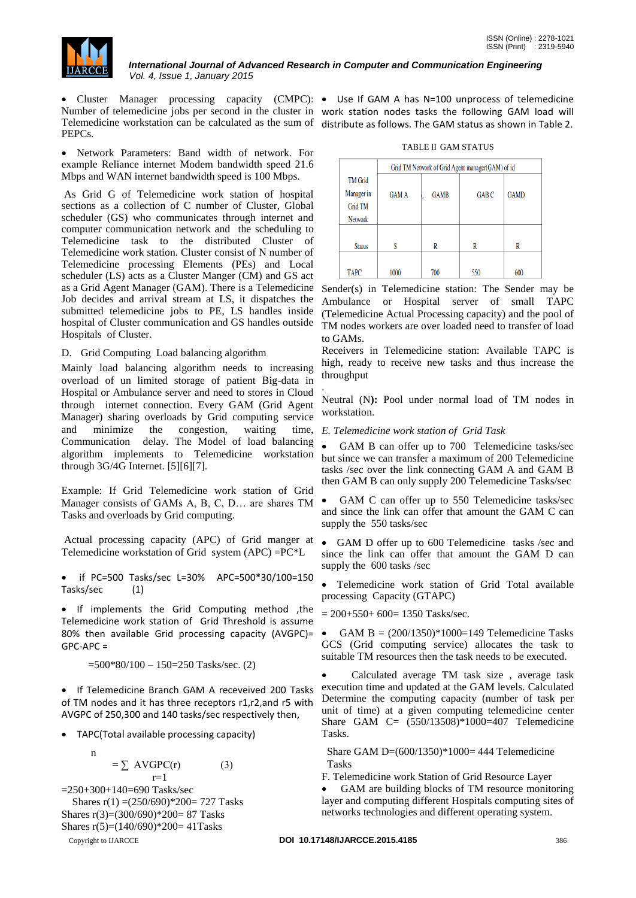

• Cluster Manager processing capacity (CMPC): • Use If GAM A has N=100 unprocess of telemedicine Number of telemedicine jobs per second in the cluster in work station nodes tasks the following GAM load will Telemedicine workstation can be calculated as the sum of distribute as follows. The GAM status as shown in Table 2. PEPCs.

 Network Parameters: Band width of network. For example Reliance internet Modem bandwidth speed 21.6 Mbps and WAN internet bandwidth speed is 100 Mbps.

As Grid G of Telemedicine work station of hospital sections as a collection of C number of Cluster, Global scheduler (GS) who communicates through internet and computer communication network and the scheduling to Telemedicine task to the distributed Cluster of Telemedicine work station. Cluster consist of N number of Telemedicine processing Elements (PEs) and Local scheduler (LS) acts as a Cluster Manger (CM) and GS act as a Grid Agent Manager (GAM). There is a Telemedicine Job decides and arrival stream at LS, it dispatches the submitted telemedicine jobs to PE, LS handles inside hospital of Cluster communication and GS handles outside Hospitals of Cluster.

D. Grid Computing Load balancing algorithm

Mainly load balancing algorithm needs to increasing overload of un limited storage of patient Big-data in Hospital or Ambulance server and need to stores in Cloud through internet connection. Every GAM (Grid Agent Manager) sharing overloads by Grid computing service and minimize the congestion, waiting time, Communication delay. The Model of load balancing algorithm implements to Telemedicine workstation through 3G/4G Internet. [5][6][7].

Example: If Grid Telemedicine work station of Grid Manager consists of GAMs A, B, C, D… are shares TM Tasks and overloads by Grid computing.

Actual processing capacity (APC) of Grid manger at Telemedicine workstation of Grid system (APC) =PC\*L

 if PC=500 Tasks/sec L=30% APC=500\*30/100=150 Tasks/sec (1)

• If implements the Grid Computing method ,the Telemedicine work station of Grid Threshold is assume 80% then available Grid processing capacity (AVGPC)= GPC-APC =

 $=500*80/100 - 150=250$  Tasks/sec. (2)

• If Telemedicine Branch GAM A receveived 200 Tasks of TM nodes and it has three receptors r1,r2,and r5 with AVGPC of 250,300 and 140 tasks/sec respectively then,

TAPC(Total available processing capacity)

$$
n = \sum AVGPC(r) \tag{3}
$$

Copyright to IJARCCE **DOI 10.17148/IJARCCE.2015.4185** 386  $r=1$ =250+300+140=690 Tasks/sec Shares  $r(1) = (250/690) * 200 = 727$  Tasks Shares r(3)=(300/690)\*200= 87 Tasks Shares r(5)=(140/690)\*200= 41Tasks

TABLE II GAM STATUS

|                                                                  | Grid TM Network of Grid Agent manager (GAM) of id |             |              |             |  |
|------------------------------------------------------------------|---------------------------------------------------|-------------|--------------|-------------|--|
| <b>TM</b> Grid<br>Manager in<br><b>Grid TM</b><br><b>Network</b> | <b>GAM A</b>                                      | <b>GAMB</b> | <b>GAB C</b> | <b>GAMD</b> |  |
| <b>Status</b>                                                    |                                                   | R           | R            | R           |  |
| <b>TAPC</b>                                                      | 1000                                              | 700         | 550          | 600         |  |

Sender(s) in Telemedicine station: The Sender may be Ambulance or Hospital server of small TAPC (Telemedicine Actual Processing capacity) and the pool of TM nodes workers are over loaded need to transfer of load to GAMs.

Receivers in Telemedicine station: Available TAPC is high, ready to receive new tasks and thus increase the throughput

. Neutral (N**):** Pool under normal load of TM nodes in workstation.

# *E. Telemedicine work station of Grid Task*

 GAM B can offer up to 700 Telemedicine tasks/sec but since we can transfer a maximum of 200 Telemedicine tasks /sec over the link connecting GAM A and GAM B then GAM B can only supply 200 Telemedicine Tasks/sec

 GAM C can offer up to 550 Telemedicine tasks/sec and since the link can offer that amount the GAM C can supply the 550 tasks/sec

 GAM D offer up to 600 Telemedicine tasks /sec and since the link can offer that amount the GAM D can supply the 600 tasks /sec

 Telemedicine work station of Grid Total available processing Capacity (GTAPC)

 $= 200+550+600= 1350$  Tasks/sec.

• GAM B =  $(200/1350)*1000=149$  Telemedicine Tasks GCS (Grid computing service) allocates the task to suitable TM resources then the task needs to be executed.

 Calculated average TM task size , average task execution time and updated at the GAM levels. Calculated Determine the computing capacity (number of task per unit of time) at a given computing telemedicine center Share GAM C= (550/13508)\*1000=407 Telemedicine Tasks.

 Share GAM D=(600/1350)\*1000= 444 Telemedicine Tasks

F. Telemedicine work Station of Grid Resource Layer

 GAM are building blocks of TM resource monitoring layer and computing different Hospitals computing sites of networks technologies and different operating system.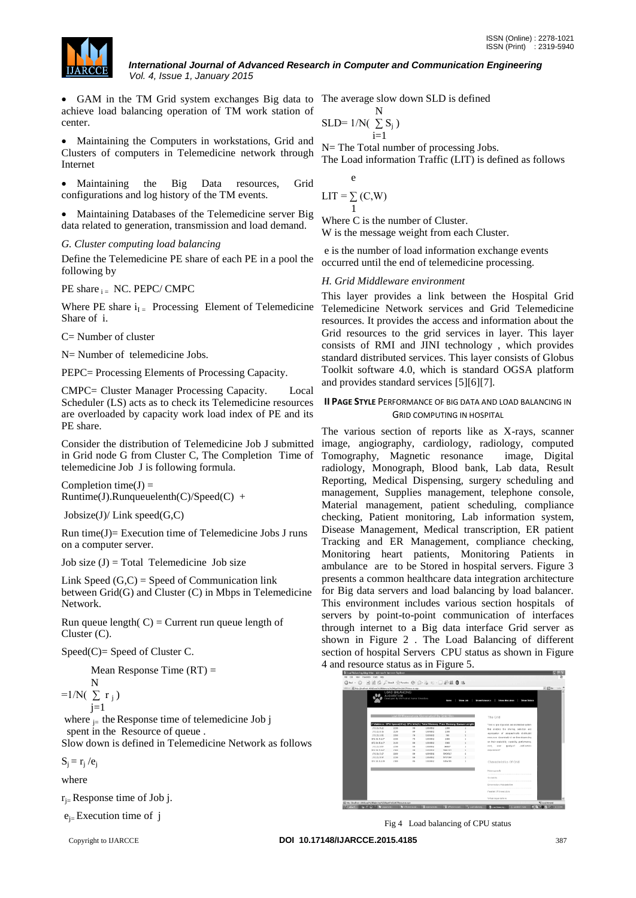

• GAM in the TM Grid system exchanges Big data to The average slow down SLD is defined achieve load balancing operation of TM work station of center.

 Maintaining the Computers in workstations, Grid and Clusters of computers in Telemedicine network through Internet

 Maintaining the Big Data resources, Grid configurations and log history of the TM events.

 Maintaining Databases of the Telemedicine server Big data related to generation, transmission and load demand.

# *G. Cluster computing load balancing*

Define the Telemedicine PE share of each PE in a pool the following by

PE share  $_{i}$  NC. PEPC/ CMPC

Where PE share  $i_{I}$  Processing Element of Telemedicine Share of i.

C= Number of cluster

N= Number of telemedicine Jobs.

PEPC= Processing Elements of Processing Capacity.

CMPC= Cluster Manager Processing Capacity. Local Scheduler (LS) acts as to check its Telemedicine resources are overloaded by capacity work load index of PE and its PE share.

Consider the distribution of Telemedicine Job J submitted in Grid node G from Cluster C, The Completion Time of telemedicine Job J is following formula.

Completion time( $J$ ) =  $Runtime(J).Runqueueleenth(C)/Speed(C) +$ 

 $Jobsize(J)/Link speed(G,C)$ 

Run time $(J)$ = Execution time of Telemedicine Jobs J runs on a computer server.

Job size  $(J)$  = Total Telemedicine Job size

Link Speed  $(G, C)$  = Speed of Communication link between Grid(G) and Cluster (C) in Mbps in Telemedicine Network.

Run queue length $(C) =$  Current run queue length of Cluster (C).

 $Speed(C) = Speed of Cluster C$ .

Mean Response Time (RT) =

$$
=1/N(\sum_{j=1}^{N}r_j)
$$

where  $_{i=}$  the Response time of telemedicine Job j spent in the Resource of queue.

Slow down is defined in Telemedicine Network as follows

 $S_j = r_j / e_j$ 

where

 $r_{i}$ = Response time of Job j.

 $e_{i}$ = Execution time of j

$$
\text{SLD=}\;1/N(\;\sum_{i=1}^N S_j\;)
$$

N= The Total number of processing Jobs. The Load information Traffic (LIT) is defined as follows

$$
LIT = \sum_{1}^{e} (C,W)
$$

Where C is the number of Cluster. W is the message weight from each Cluster.

e is the number of load information exchange events occurred until the end of telemedicine processing.

# *H. Grid Middleware environment*

This layer provides a link between the Hospital Grid Telemedicine Network services and Grid Telemedicine resources. It provides the access and information about the Grid resources to the grid services in layer. This layer consists of RMI and JINI technology , which provides standard distributed services. This layer consists of Globus Toolkit software 4.0, which is standard OGSA platform and provides standard services [5][6][7].

# **II PAGE STYLE** PERFORMANCE OF BIG DATA AND LOAD BALANCING IN GRID COMPUTING IN HOSPITAL

The various section of reports like as X-rays, scanner image, angiography, cardiology, radiology, computed Tomography, Magnetic resonance image, Digital radiology, Monograph, Blood bank, Lab data, Result Reporting, Medical Dispensing, surgery scheduling and management, Supplies management, telephone console, Material management, patient scheduling, compliance checking, Patient monitoring, Lab information system, Disease Management, Medical transcription, ER patient Tracking and ER Management, compliance checking, Monitoring heart patients, Monitoring Patients in ambulance are to be Stored in hospital servers. Figure 3 presents a common healthcare data integration architecture for Big data servers and load balancing by load balancer. This environment includes various section hospitals of servers by point-to-point communication of interfaces through internet to a Big data interface Grid server as shown in Figure 2 . The Load Balancing of different section of hospital Servers CPU status as shown in Figure 4 and resource status as in Figure 5.



Fig 4 Load balancing of CPU status